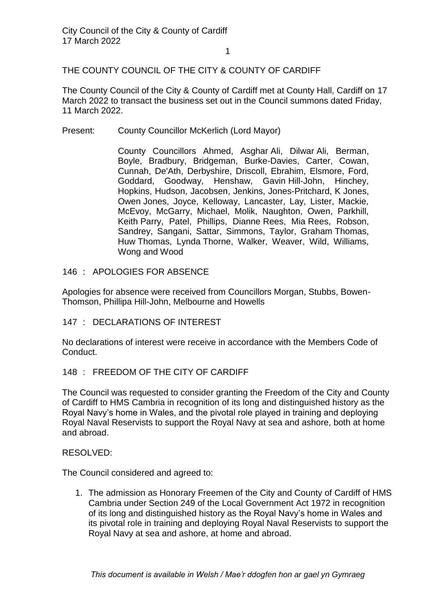## THE COUNTY COUNCIL OF THE CITY & COUNTY OF CARDIFF

The County Council of the City & County of Cardiff met at County Hall, Cardiff on 17 March 2022 to transact the business set out in the Council summons dated Friday, 11 March 2022.

Present: County Councillor McKerlich (Lord Mayor)

County Councillors Ahmed, Asghar Ali, Dilwar Ali, Berman, Boyle, Bradbury, Bridgeman, Burke-Davies, Carter, Cowan, Cunnah, De'Ath, Derbyshire, Driscoll, Ebrahim, Elsmore, Ford, Goddard, Goodway, Henshaw, Gavin Hill-John, Hinchey, Hopkins, Hudson, Jacobsen, Jenkins, Jones-Pritchard, K Jones, Owen Jones, Joyce, Kelloway, Lancaster, Lay, Lister, Mackie, McEvoy, McGarry, Michael, Molik, Naughton, Owen, Parkhill, Keith Parry, Patel, Phillips, Dianne Rees, Mia Rees, Robson, Sandrey, Sangani, Sattar, Simmons, Taylor, Graham Thomas, Huw Thomas, Lynda Thorne, Walker, Weaver, Wild, Williams, Wong and Wood

146 : APOLOGIES FOR ABSENCE

Apologies for absence were received from Councillors Morgan, Stubbs, Bowen-Thomson, Phillipa Hill-John, Melbourne and Howells

147 : DECLARATIONS OF INTEREST

No declarations of interest were receive in accordance with the Members Code of Conduct.

## 148 : FREEDOM OF THE CITY OF CARDIFF

The Council was requested to consider granting the Freedom of the City and County of Cardiff to HMS Cambria in recognition of its long and distinguished history as the Royal Navy's home in Wales, and the pivotal role played in training and deploying Royal Naval Reservists to support the Royal Navy at sea and ashore, both at home and abroad.

RESOLVED:

The Council considered and agreed to:

1. The admission as Honorary Freemen of the City and County of Cardiff of HMS Cambria under Section 249 of the Local Government Act 1972 in recognition of its long and distinguished history as the Royal Navy's home in Wales and its pivotal role in training and deploying Royal Naval Reservists to support the Royal Navy at sea and ashore, at home and abroad.